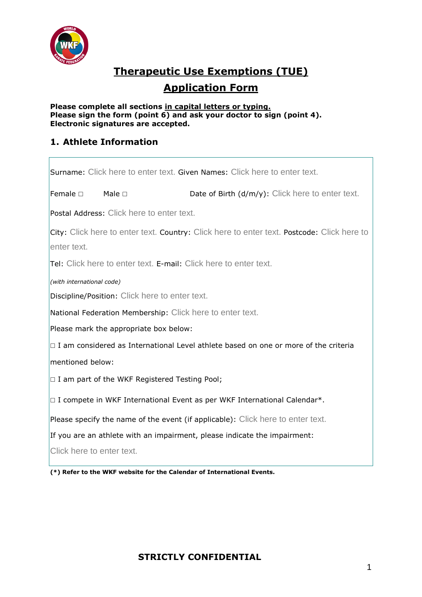

# **Therapeutic Use Exemptions (TUE)**

## **Application Form**

#### **Please complete all sections in capital letters or typing. Please sign the form (point 6) and ask your doctor to sign (point 4). Electronic signatures are accepted.**

#### **1. Athlete Information**

| Surname: Click here to enter text. Given Names: Click here to enter text.                                 |                |                                                  |  |  |  |  |
|-----------------------------------------------------------------------------------------------------------|----------------|--------------------------------------------------|--|--|--|--|
| Female □                                                                                                  | Male $\square$ | Date of Birth (d/m/y): Click here to enter text. |  |  |  |  |
| Postal Address: Click here to enter text.                                                                 |                |                                                  |  |  |  |  |
| City: Click here to enter text. Country: Click here to enter text. Postcode: Click here to<br>enter text. |                |                                                  |  |  |  |  |
| <b>Tel:</b> Click here to enter text. E-mail: Click here to enter text.                                   |                |                                                  |  |  |  |  |
| (with international code)                                                                                 |                |                                                  |  |  |  |  |
| Discipline/Position: Click here to enter text.                                                            |                |                                                  |  |  |  |  |
| National Federation Membership: Click here to enter text.                                                 |                |                                                  |  |  |  |  |
| Please mark the appropriate box below:                                                                    |                |                                                  |  |  |  |  |
| $\Box$ I am considered as International Level athlete based on one or more of the criteria                |                |                                                  |  |  |  |  |
| mentioned below:                                                                                          |                |                                                  |  |  |  |  |
| $\Box$ I am part of the WKF Registered Testing Pool;                                                      |                |                                                  |  |  |  |  |
| $\Box$ I compete in WKF International Event as per WKF International Calendar*.                           |                |                                                  |  |  |  |  |
| Please specify the name of the event (if applicable): Click here to enter text.                           |                |                                                  |  |  |  |  |
| If you are an athlete with an impairment, please indicate the impairment:                                 |                |                                                  |  |  |  |  |
| Click here to enter text.                                                                                 |                |                                                  |  |  |  |  |

**(\*) Refer to the WKF website for the Calendar of International Events.**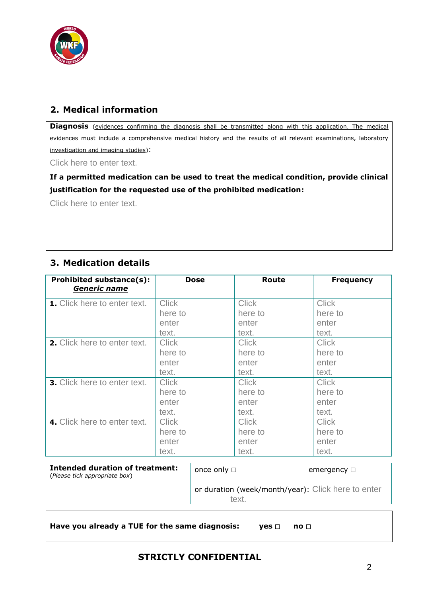

#### **2. Medical information**

**Diagnosis** (evidences confirming the diagnosis shall be transmitted along with this application. The medical evidences must include a comprehensive medical history and the results of all relevant examinations, laboratory investigation and imaging studies):

Click here to enter text.

**If a permitted medication can be used to treat the medical condition, provide clinical justification for the requested use of the prohibited medication:**

Click here to enter text.

#### **3. Medication details**

| <b>Prohibited substance(s):</b><br><u>Generic name</u> | Dose         | Route        | <b>Frequency</b> |
|--------------------------------------------------------|--------------|--------------|------------------|
| 1. Click here to enter text.                           | <b>Click</b> | <b>Click</b> | <b>Click</b>     |
|                                                        | here to      | here to      | here to          |
|                                                        | enter        | enter        | enter            |
|                                                        | text.        | text.        | text.            |
| 2. Click here to enter text.                           | <b>Click</b> | <b>Click</b> | <b>Click</b>     |
|                                                        | here to      | here to      | here to          |
|                                                        | enter        | enter        | enter            |
|                                                        | text.        | text.        | text.            |
| 3. Click here to enter text.                           | <b>Click</b> | <b>Click</b> | <b>Click</b>     |
|                                                        | here to      | here to      | here to          |
|                                                        | enter        | enter        | enter            |
|                                                        | text.        | text.        | text.            |
| 4. Click here to enter text.                           | <b>Click</b> | <b>Click</b> | <b>Click</b>     |
|                                                        | here to      | here to      | here to          |
|                                                        | enter        | enter        | enter            |
|                                                        | text.        | text.        | text.            |

| (Please tick appropriate box) |                                                             | emergency $\square$ |
|-------------------------------|-------------------------------------------------------------|---------------------|
|                               | or duration (week/month/year): Click here to enter<br>text. |                     |

```
Have you already a TUE for the same diagnosis: yes ☐ no ☐
```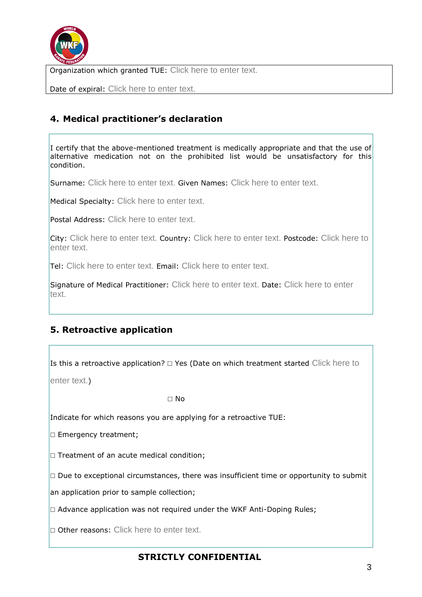

Organization which granted TUE: Click here to enter text.

Date of expiral: Click here to enter text.

### **4. Medical practitioner's declaration**

I certify that the above-mentioned treatment is medically appropriate and that the use of alternative medication not on the prohibited list would be unsatisfactory for this condition.

Surname: Click here to enter text. Given Names: Click here to enter text.

Medical Specialty: Click here to enter text.

Postal Address: Click here to enter text.

City: Click here to enter text. Country: Click here to enter text. Postcode: Click here to enter text.

Tel: Click here to enter text. Email: Click here to enter text.

Signature of Medical Practitioner: Click here to enter text. Date: Click here to enter text.

#### **5. Retroactive application**

Is this a retroactive application?  $□$  Yes (Date on which treatment started Click here to

enter text.)

☐ No

Indicate for which reasons you are applying for a retroactive TUE:

□ Emergency treatment;

□ Treatment of an acute medical condition;

 $\Box$  Due to exceptional circumstances, there was insufficient time or opportunity to submit

an application prior to sample collection;

 $\Box$  Advance application was not required under the WKF Anti-Doping Rules;

□ Other reasons: Click here to enter text.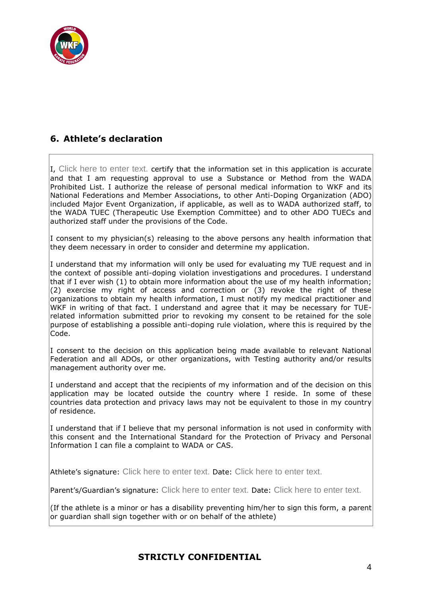

#### **6. Athlete's declaration**

I, Click here to enter text. certify that the information set in this application is accurate and that I am requesting approval to use a Substance or Method from the WADA Prohibited List. I authorize the release of personal medical information to WKF and its National Federations and Member Associations, to other Anti-Doping Organization (ADO) included Major Event Organization, if applicable, as well as to WADA authorized staff, to the WADA TUEC (Therapeutic Use Exemption Committee) and to other ADO TUECs and authorized staff under the provisions of the Code.

I consent to my physician(s) releasing to the above persons any health information that they deem necessary in order to consider and determine my application.

I understand that my information will only be used for evaluating my TUE request and in the context of possible anti-doping violation investigations and procedures. I understand that if I ever wish (1) to obtain more information about the use of my health information;  $(2)$  exercise my right of access and correction or  $(3)$  revoke the right of these organizations to obtain my health information, I must notify my medical practitioner and WKF in writing of that fact. I understand and agree that it may be necessary for TUErelated information submitted prior to revoking my consent to be retained for the sole purpose of establishing a possible anti-doping rule violation, where this is required by the Code.

I consent to the decision on this application being made available to relevant National Federation and all ADOs, or other organizations, with Testing authority and/or results management authority over me.

I understand and accept that the recipients of my information and of the decision on this application may be located outside the country where I reside. In some of these countries data protection and privacy laws may not be equivalent to those in my country of residence.

I understand that if I believe that my personal information is not used in conformity with this consent and the International Standard for the Protection of Privacy and Personal Information I can file a complaint to WADA or CAS.

Athlete's signature: Click here to enter text. Date: Click here to enter text.

Parent's/Guardian's signature: Click here to enter text. Date: Click here to enter text.

(If the athlete is a minor or has a disability preventing him/her to sign this form, a parent or guardian shall sign together with or on behalf of the athlete)